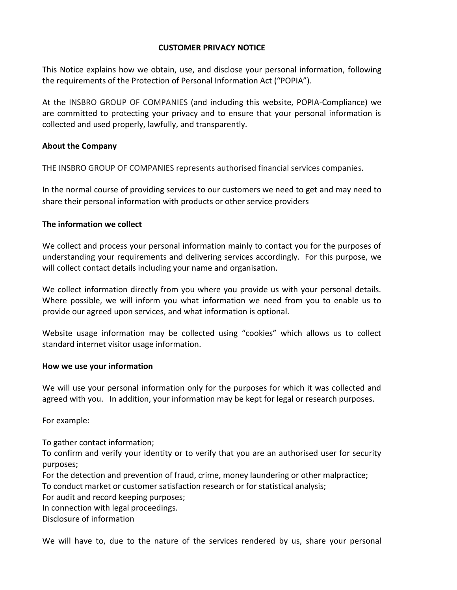## **CUSTOMER PRIVACY NOTICE**

This Notice explains how we obtain, use, and disclose your personal information, following the requirements of the Protection of Personal Information Act ("POPIA").

At the INSBRO GROUP OF COMPANIES (and including this website, POPIA-Compliance) we are committed to protecting your privacy and to ensure that your personal information is collected and used properly, lawfully, and transparently.

## **About the Company**

THE INSBRO GROUP OF COMPANIES represents authorised financial services companies.

In the normal course of providing services to our customers we need to get and may need to share their personal information with products or other service providers

## **The information we collect**

We collect and process your personal information mainly to contact you for the purposes of understanding your requirements and delivering services accordingly. For this purpose, we will collect contact details including your name and organisation.

We collect information directly from you where you provide us with your personal details. Where possible, we will inform you what information we need from you to enable us to provide our agreed upon services, and what information is optional.

Website usage information may be collected using "cookies" which allows us to collect standard internet visitor usage information.

## **How we use your information**

We will use your personal information only for the purposes for which it was collected and agreed with you. In addition, your information may be kept for legal or research purposes.

For example:

To gather contact information; To confirm and verify your identity or to verify that you are an authorised user for security purposes;

For the detection and prevention of fraud, crime, money laundering or other malpractice; To conduct market or customer satisfaction research or for statistical analysis;

For audit and record keeping purposes;

In connection with legal proceedings.

Disclosure of information

We will have to, due to the nature of the services rendered by us, share your personal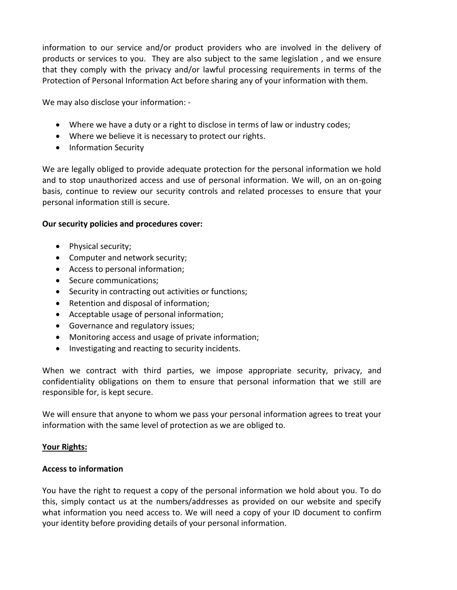information to our service and/or product providers who are involved in the delivery of products or services to you. They are also subject to the same legislation , and we ensure that they comply with the privacy and/or lawful processing requirements in terms of the Protection of Personal Information Act before sharing any of your information with them.

We may also disclose your information: -

- Where we have a duty or a right to disclose in terms of law or industry codes;
- Where we believe it is necessary to protect our rights.
- Information Security

We are legally obliged to provide adequate protection for the personal information we hold and to stop unauthorized access and use of personal information. We will, on an on-going basis, continue to review our security controls and related processes to ensure that your personal information still is secure.

### **Our security policies and procedures cover:**

- Physical security;
- Computer and network security;
- Access to personal information;
- Secure communications;
- Security in contracting out activities or functions;
- Retention and disposal of information;
- Acceptable usage of personal information;
- Governance and regulatory issues;
- Monitoring access and usage of private information;
- Investigating and reacting to security incidents.

When we contract with third parties, we impose appropriate security, privacy, and confidentiality obligations on them to ensure that personal information that we still are responsible for, is kept secure.

We will ensure that anyone to whom we pass your personal information agrees to treat your information with the same level of protection as we are obliged to.

## **Your Rights:**

## **Access to information**

You have the right to request a copy of the personal information we hold about you. To do this, simply contact us at the numbers/addresses as provided on our website and specify what information you need access to. We will need a copy of your ID document to confirm your identity before providing details of your personal information.